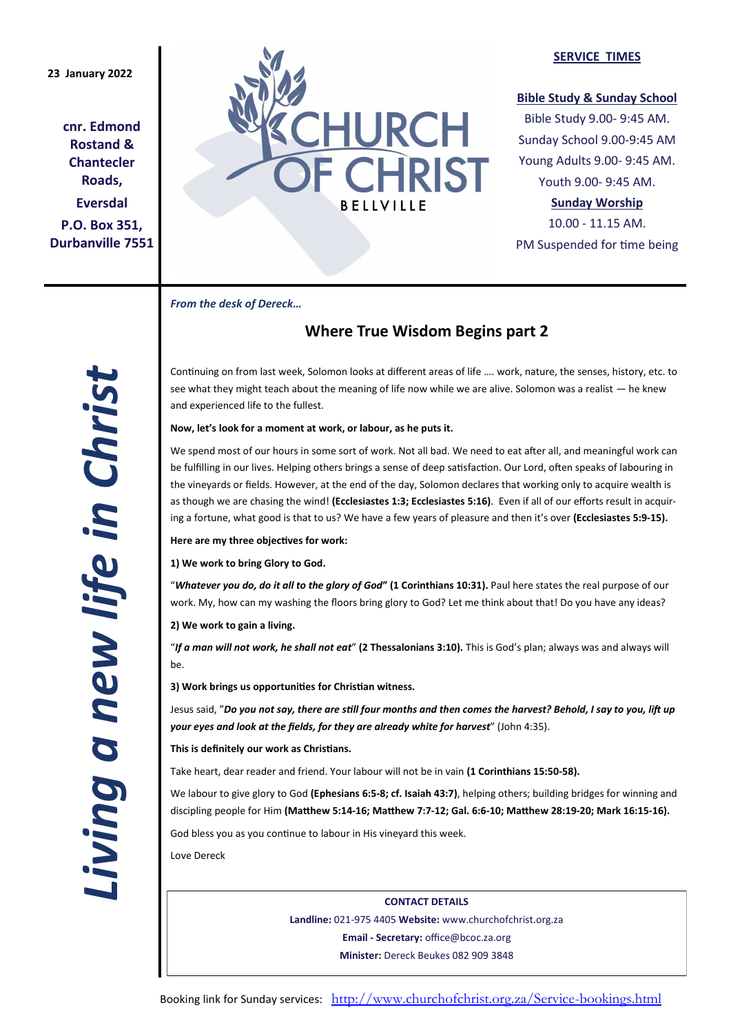**cnr. Edmond Rostand & Chantecler Roads, Eversdal P.O. Box 351, Durbanville 7551**



### **SERVICE TIMES**

## **Bible Study & Sunday School**

Bible Study 9.00- 9:45 AM. Sunday School 9.00-9:45 AM Young Adults 9.00- 9:45 AM. Youth 9.00- 9:45 AM.

# **Sunday Worship**

10.00 - 11.15 AM. PM Suspended for time being

*From the desk of Dereck…* 

# **Where True Wisdom Begins part 2**

Continuing on from last week, Solomon looks at different areas of life …. work, nature, the senses, history, etc. to see what they might teach about the meaning of life now while we are alive. Solomon was a realist — he knew and experienced life to the fullest.

**Now, let's look for a moment at work, or labour, as he puts it.**

We spend most of our hours in some sort of work. Not all bad. We need to eat after all, and meaningful work can be fulfilling in our lives. Helping others brings a sense of deep satisfaction. Our Lord, often speaks of labouring in the vineyards or fields. However, at the end of the day, Solomon declares that working only to acquire wealth is as though we are chasing the wind! (Ecclesiastes 1:3; Ecclesiastes 5:16). Even if all of our efforts result in acquiring a fortune, what good is that to us? We have a few years of pleasure and then it's over **(Ecclesiastes 5:9-15).**

**Here are my three objectives for work:**

**1) We work to bring Glory to God.**

"*Whatever you do, do it all to the glory of God***" (1 Corinthians 10:31).** Paul here states the real purpose of our work. My, how can my washing the floors bring glory to God? Let me think about that! Do you have any ideas?

**2) We work to gain a living.**

"*If a man will not work, he shall not eat*" **(2 Thessalonians 3:10).** This is God's plan; always was and always will be.

**3) Work brings us opportunities for Christian witness.**

Jesus said, "*Do you not say, there are still four months and then comes the harvest? Behold, I say to you, lift up your eyes and look at the fields, for they are already white for harvest*" (John 4:35).

# **This is definitely our work as Christians.**

Take heart, dear reader and friend. Your labour will not be in vain **(1 Corinthians 15:50-58).**

We labour to give glory to God **(Ephesians 6:5-8; cf. Isaiah 43:7)**, helping others; building bridges for winning and discipling people for Him **(Matthew 5:14-16; Matthew 7:7-12; Gal. 6:6-10; Matthew 28:19-20; Mark 16:15-16).**

God bless you as you continue to labour in His vineyard this week.

Love Dereck

**CONTACT DETAILS Landline:** 021-975 4405 **Website:** www.churchofchrist.org.za **Email - Secretary:** office@bcoc.za.org **Minister:** Dereck Beukes 082 909 3848